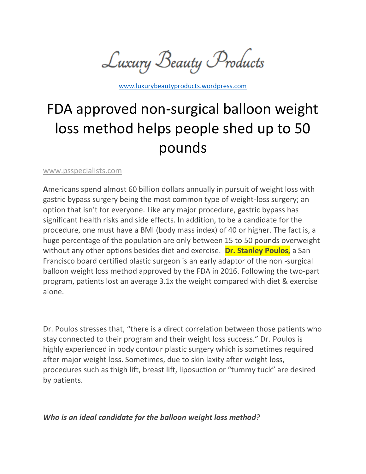Luxury Beauty Products

[www.luxurybeautyproducts.wordpress.com](http://www.luxurybeautyproducts.wordpress.com/)

# FDA approved non-surgical balloon weight loss method helps people shed up to 50 pounds

[www.psspecialists.com](http://www.psspecialists.com/)

**A**mericans spend almost 60 billion dollars annually in pursuit of weight loss with gastric bypass surgery being the most common type of weight-loss surgery; an option that isn't for everyone. Like any major procedure, gastric bypass has significant health risks and side effects. In addition, to be a candidate for the procedure, one must have a BMI (body mass index) of 40 or higher. The fact is, a huge percentage of the population are only between 15 to 50 pounds overweight without any other options besides diet and exercise. **Dr. Stanley Poulos,** a San Francisco board certified plastic surgeon is an early adaptor of the non -surgical balloon weight loss method approved by the FDA in 2016. Following the two-part program, patients lost an average 3.1x the weight compared with diet & exercise alone.

Dr. Poulos stresses that, "there is a direct correlation between those patients who stay connected to their program and their weight loss success." Dr. Poulos is highly experienced in body contour plastic surgery which is sometimes required after major weight loss. Sometimes, due to skin laxity after weight loss, procedures such as thigh lift, breast lift, liposuction or "tummy tuck" are desired by patients.

*Who is an ideal candidate for the balloon weight loss method?*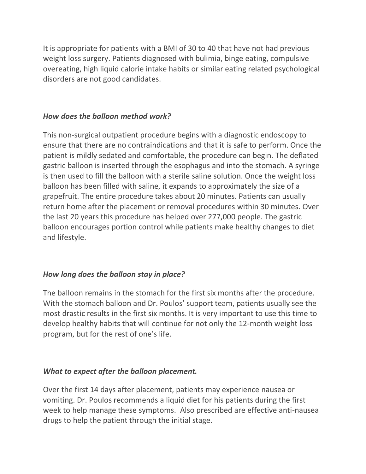It is appropriate for patients with a BMI of 30 to 40 that have not had previous weight loss surgery. Patients diagnosed with bulimia, binge eating, compulsive overeating, high liquid calorie intake habits or similar eating related psychological disorders are not good candidates.

## *How does the balloon method work?*

This non-surgical outpatient procedure begins with a diagnostic endoscopy to ensure that there are no contraindications and that it is safe to perform. Once the patient is mildly sedated and comfortable, the procedure can begin. The deflated gastric balloon is inserted through the esophagus and into the stomach. A syringe is then used to fill the balloon with a sterile saline solution. Once the weight loss balloon has been filled with saline, it expands to approximately the size of a grapefruit. The entire procedure takes about 20 minutes. Patients can usually return home after the placement or removal procedures within 30 minutes. Over the last 20 years this procedure has helped over 277,000 people. The gastric balloon encourages portion control while patients make healthy changes to diet and lifestyle.

# *How long does the balloon stay in place?*

The balloon remains in the stomach for the first six months after the procedure. With the stomach balloon and Dr. Poulos' support team, patients usually see the most drastic results in the first six months. It is very important to use this time to develop healthy habits that will continue for not only the 12-month weight loss program, but for the rest of one's life.

#### *What to expect after the balloon placement.*

Over the first 14 days after placement, patients may experience nausea or vomiting. Dr. Poulos recommends a liquid diet for his patients during the first week to help manage these symptoms. Also prescribed are effective anti-nausea drugs to help the patient through the initial stage.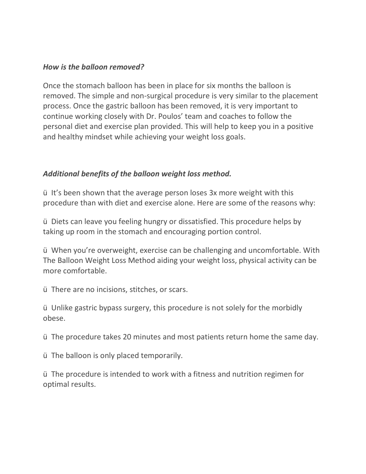#### *How is the balloon removed?*

Once the stomach balloon has been in place for six months the balloon is removed. The simple and non-surgical procedure is very similar to the placement process. Once the gastric balloon has been removed, it is very important to continue working closely with Dr. Poulos' team and coaches to follow the personal diet and exercise plan provided. This will help to keep you in a positive and healthy mindset while achieving your weight loss goals.

## *Additional benefits of the balloon weight loss method.*

ü It's been shown that the average person loses 3x more weight with this procedure than with diet and exercise alone. Here are some of the reasons why:

ü Diets can leave you feeling hungry or dissatisfied. This procedure helps by taking up room in the stomach and encouraging portion control.

ü When you're overweight, exercise can be challenging and uncomfortable. With The Balloon Weight Loss Method aiding your weight loss, physical activity can be more comfortable.

ü There are no incisions, stitches, or scars.

ü Unlike gastric bypass surgery, this procedure is not solely for the morbidly obese.

ü The procedure takes 20 minutes and most patients return home the same day.

ü The balloon is only placed temporarily.

ü The procedure is intended to work with a fitness and nutrition regimen for optimal results.